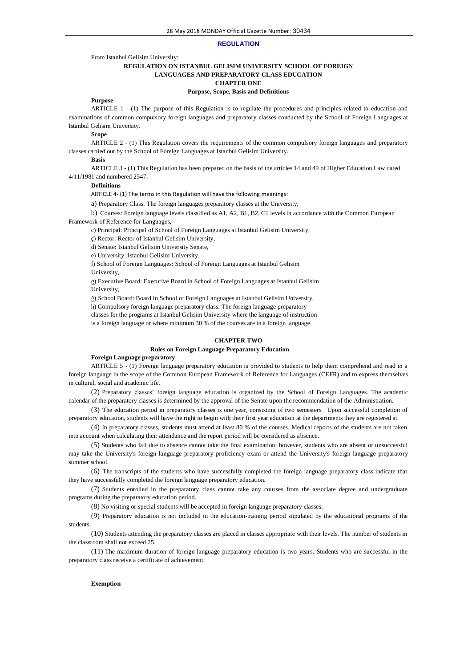### **REGULATION**

From Istanbul Gelisim University:

# **REGULATION ON ISTANBUL GELISIM UNIVERSITY SCHOOL OF FOREIGN LANGUAGES AND PREPARATORY CLASS EDUCATION CHAPTER ONE**

### **Purpose, Scope, Basis and Definitions**

# **Purpose**

ARTICLE 1 - (1) The purpose of this Regulation is to regulate the procedures and principles related to education and examinations of common compulsory foreign languages and preparatory classes conducted by the School of Foreign Languages at Istanbul Gelisim University.

**Scope**

ARTICLE 2 - (1) This Regulation covers the requirements of the common compulsory foreign languages and preparatory classes carried out by the School of Foreign Languages at Istanbul Gelisim University.

## **Basis**

ARTICLE 3 - (1) This Regulation has been prepared on the basis of the articles 14 and 49 of Higher Education Law dated 4/11/1981 and numbered 2547.

### **Definitions**

ARTICLE 4- (1) The terms in this Regulation will have the following meanings:

a) Preparatory Class: The foreign languages preparatory classes at the University,

b) Courses: Foreign language levels classified as A1, A2, B1, B2, C1 levels in accordance with the Common European Framework of Reference for Languages,

c) Principal: Principal of School of Foreign Languages at Istanbul Gelisim University,

ç) Rector: Rector of Istanbul Gelisim University,

d) Senate: Istanbul Gelisim University Senate,

e) University: Istanbul Gelisim University,

f) School of Foreign Languages: School of Foreign Languages at Istanbul Gelisim

University,

g) Executive Board: Executive Board in School of Foreign Languages at Istanbul Gelisim University,

ğ) School Board: Board in School of Foreign Languages at Istanbul Gelisim University,

h) Compulsory foreign language preparatory class: The foreign language preparatory

classes for the programs at Istanbul Gelisim University where the language of instruction

is a foreign language or where minimum 30 % of the courses are in a foreign language.

# **CHAPTER TWO**

#### **Rules on Foreign Language Preparatory Education**

### **Foreign Language preparatory**

ARTICLE 5 - (1) Foreign language preparatory education is provided to students to help them comprehend and read in a foreign language in the scope of the Common European Framework of Reference for Languages (CEFR) and to express themselves in cultural, social and academic life.

(2) Preparatory classes' foreign language education is organized by the School of Foreign Languages. The academic calendar of the preparatory classes is determined by the approval of the Senate upon the recommendation of the Administration.

(3) The education period in preparatory classes is one year, consisting of two semesters. Upon successful completion of preparatory education, students will have the right to begin with their first year education at the departments they are registered at.

(4) In preparatory classes, students must attend at least 80 % of the courses. Medical reports of the students are not taken into account when calculating their attendance and the report period will be considered as absence.

(5) Students who fail due to absence cannot take the final examination; however, students who are absent or unsuccessful may take the University's foreign language preparatory proficiency exam or attend the University's foreign language preparatory summer school.

(6) The transcripts of the students who have successfully completed the foreign language preparatory class indicate that they have successfully completed the foreign language preparatory education.

(7) Students enrolled in the preparatory class cannot take any courses from the associate degree and undergraduate programs during the preparatory education period.

(8) No visiting or special students will be accepted in foreign language preparatory classes.

(9) Preparatory education is not included in the education-training period stipulated by the educational programs of the students.

(10) Students attending the preparatory classes are placed in classes appropriate with their levels. The number of students in the classroom shall not exceed 25.

(11) The maximum duration of foreign language preparatory education is two years. Students who are successful in the preparatory class receive a certificate of achievement.

#### **Exemption**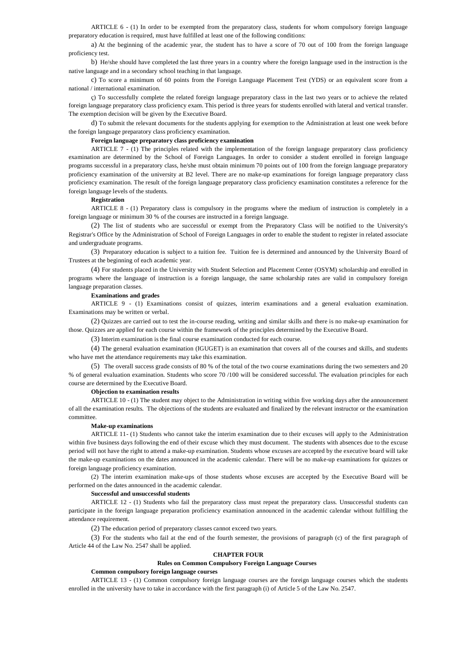ARTICLE 6 - (1) In order to be exempted from the preparatory class, students for whom compulsory foreign language preparatory education is required, must have fulfilled at least one of the following conditions:

a) At the beginning of the academic year, the student has to have a score of 70 out of 100 from the foreign language proficiency test.

b) He/she should have completed the last three years in a country where the foreign language used in the instruction is the native language and in a secondary school teaching in that language.

c) To score a minimum of 60 points from the Foreign Language Placement Test (YDS) or an equivalent score from a national / international examination.

ç) To successfully complete the related foreign language preparatory class in the last two years or to achieve the related foreign language preparatory class proficiency exam. This period is three years for students enrolled with lateral and vertical transfer. The exemption decision will be given by the Executive Board.

d) To submit the relevant documents for the students applying for exemption to the Administration at least one week before the foreign language preparatory class proficiency examination.

# **Foreign language preparatory class proficiency examination**

ARTICLE 7 - (1) The principles related with the implementation of the foreign language preparatory class proficiency examination are determined by the School of Foreign Languages. In order to consider a student enrolled in foreign language programs successful in a preparatory class, he/she must obtain minimum 70 points out of 100 from the foreign language preparatory proficiency examination of the university at B2 level. There are no make-up examinations for foreign language preparatory class proficiency examination. The result of the foreign language preparatory class proficiency examination constitutes a reference for the foreign language levels of the students.

## **Registration**

ARTICLE 8 - (1) Preparatory class is compulsory in the programs where the medium of instruction is completely in a foreign language or minimum 30 % of the courses are instructed in a foreign language.

(2) The list of students who are successful or exempt from the Preparatory Class will be notified to the University's Registrar's Office by the Administration of School of Foreign Languages in order to enable the student to register in related associate and undergraduate programs.

(3) Preparatory education is subject to a tuition fee. Tuition fee is determined and announced by the University Board of Trustees at the beginning of each academic year.

(4) For students placed in the University with Student Selection and Placement Center (OSYM) scholarship and enrolled in programs where the language of instruction is a foreign language, the same scholarship rates are valid in compulsory foreign language preparation classes.

### **Examinations and grades**

ARTICLE 9 - (1) Examinations consist of quizzes, interim examinations and a general evaluation examination. Examinations may be written or verbal.

(2) Quizzes are carried out to test the in-course reading, writing and similar skills and there is no make-up examination for those. Quizzes are applied for each course within the framework of the principles determined by the Executive Board.

(3) Interim examination is the final course examination conducted for each course.

(4) The general evaluation examination (IGUGET) is an examination that covers all of the courses and skills, and students who have met the attendance requirements may take this examination.

(5) The overall success grade consists of 80 % of the total of the two course examinations during the two semesters and 20 % of general evaluation examination. Students who score 70 /100 will be considered successful. The evaluation principles for each course are determined by the Executive Board.

#### **Objection to examination results**

ARTICLE 10 - (1) The student may object to the Administration in writing within five working days after the announcement of all the examination results. The objections of the students are evaluated and finalized by the relevant instructor or the examination committee.

#### **Make-up examinations**

ARTICLE 11- (1) Students who cannot take the interim examination due to their excuses will apply to the Administration within five business days following the end of their excuse which they must document. The students with absences due to the excuse period will not have the right to attend a make-up examination. Students whose excuses are accepted by the executive board will take the make-up examinations on the dates announced in the academic calendar. There will be no make-up examinations for quizzes or foreign language proficiency examination.

(2) The interim examination make-ups of those students whose excuses are accepted by the Executive Board will be performed on the dates announced in the academic calendar.

#### **Successful and unsuccessful students**

ARTICLE 12 - (1) Students who fail the preparatory class must repeat the preparatory class. Unsuccessful students can participate in the foreign language preparation proficiency examination announced in the academic calendar without fulfilling the attendance requirement.

(2) The education period of preparatory classes cannot exceed two years.

(3) For the students who fail at the end of the fourth semester, the provisions of paragraph (c) of the first paragraph of Article 44 of the Law No. 2547 shall be applied.

# **CHAPTER FOUR**

# **Rules on Common Compulsory Foreign Language Courses**

### **Common compulsory foreign language courses**

ARTICLE 13 - (1) Common compulsory foreign language courses are the foreign language courses which the students enrolled in the university have to take in accordance with the first paragraph (i) of Article 5 of the Law No. 2547.